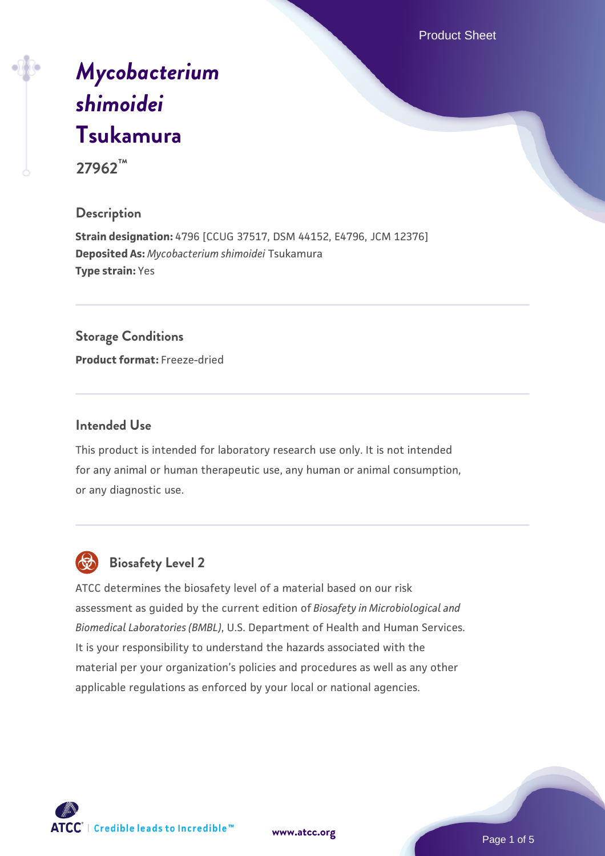Product Sheet

# *[Mycobacterium](https://www.atcc.org/products/27962) [shimoidei](https://www.atcc.org/products/27962)* **[Tsukamura](https://www.atcc.org/products/27962) 27962™**

## **Description**

**Strain designation:** 4796 [CCUG 37517, DSM 44152, E4796, JCM 12376] **Deposited As:** *Mycobacterium shimoidei* Tsukamura **Type strain:** Yes

## **Storage Conditions**

**Product format:** Freeze-dried

#### **Intended Use**

This product is intended for laboratory research use only. It is not intended for any animal or human therapeutic use, any human or animal consumption, or any diagnostic use.



### **Biosafety Level 2**

ATCC determines the biosafety level of a material based on our risk assessment as guided by the current edition of *Biosafety in Microbiological and Biomedical Laboratories (BMBL)*, U.S. Department of Health and Human Services. It is your responsibility to understand the hazards associated with the material per your organization's policies and procedures as well as any other applicable regulations as enforced by your local or national agencies.



**[www.atcc.org](http://www.atcc.org)**

Page 1 of 5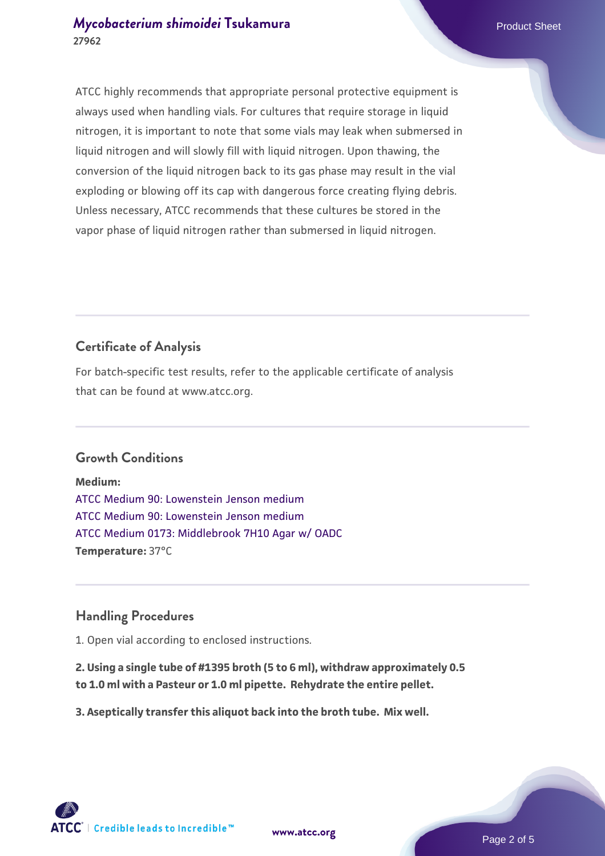#### *[Mycobacterium shimoidei](https://www.atcc.org/products/27962)* [Tsukamura](https://www.atcc.org/products/27962) **Product Sheet** Product Sheet **27962**

ATCC highly recommends that appropriate personal protective equipment is always used when handling vials. For cultures that require storage in liquid nitrogen, it is important to note that some vials may leak when submersed in liquid nitrogen and will slowly fill with liquid nitrogen. Upon thawing, the conversion of the liquid nitrogen back to its gas phase may result in the vial exploding or blowing off its cap with dangerous force creating flying debris. Unless necessary, ATCC recommends that these cultures be stored in the vapor phase of liquid nitrogen rather than submersed in liquid nitrogen.

## **Certificate of Analysis**

For batch-specific test results, refer to the applicable certificate of analysis that can be found at www.atcc.org.

#### **Growth Conditions**

**Medium:**  [ATCC Medium 90: Lowenstein Jenson medium](https://www.atcc.org/-/media/product-assets/documents/microbial-media-formulations/9/0/atcc-medium-90.pdf?rev=2af45eec61614a8e9024c1519219fe34) [ATCC Medium 90: Lowenstein Jenson medium](https://www.atcc.org/-/media/product-assets/documents/microbial-media-formulations/9/0/atcc-medium-90.pdf?rev=2af45eec61614a8e9024c1519219fe34) [ATCC Medium 0173: Middlebrook 7H10 Agar w/ OADC](https://www.atcc.org/-/media/product-assets/documents/microbial-media-formulations/0/1/7/3/atcc-medium-0173.pdf?rev=2fcd87d0ebaf471d8aa6aba3758ef39f) **Temperature:** 37°C

#### **Handling Procedures**

1. Open vial according to enclosed instructions.

**2. Using a single tube of #1395 broth (5 to 6 ml), withdraw approximately 0.5 to 1.0 ml with a Pasteur or 1.0 ml pipette. Rehydrate the entire pellet.**

**3. Aseptically transfer this aliquot back into the broth tube. Mix well.**

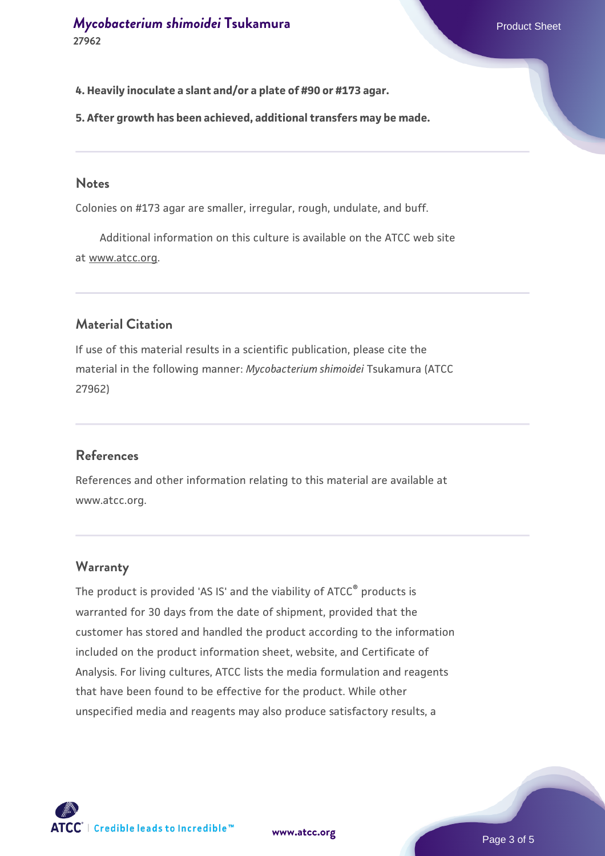**4. Heavily inoculate a slant and/or a plate of #90 or #173 agar.**

**5. After growth has been achieved, additional transfers may be made.**

#### **Notes**

Colonies on #173 agar are smaller, irregular, rough, undulate, and buff.

 Additional information on this culture is available on the ATCC web site at www.atcc.org.

#### **Material Citation**

If use of this material results in a scientific publication, please cite the material in the following manner: *Mycobacterium shimoidei* Tsukamura (ATCC 27962)

#### **References**

References and other information relating to this material are available at www.atcc.org.

#### **Warranty**

The product is provided 'AS IS' and the viability of ATCC<sup>®</sup> products is warranted for 30 days from the date of shipment, provided that the customer has stored and handled the product according to the information included on the product information sheet, website, and Certificate of Analysis. For living cultures, ATCC lists the media formulation and reagents that have been found to be effective for the product. While other unspecified media and reagents may also produce satisfactory results, a



**[www.atcc.org](http://www.atcc.org)**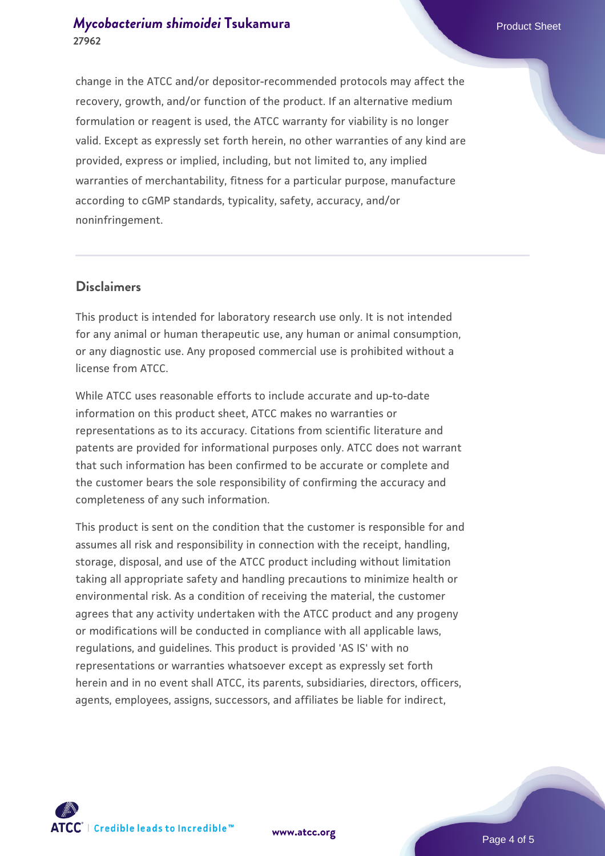#### *[Mycobacterium shimoidei](https://www.atcc.org/products/27962)* [Tsukamura](https://www.atcc.org/products/27962) **Product Sheet** Product Sheet **27962**

change in the ATCC and/or depositor-recommended protocols may affect the recovery, growth, and/or function of the product. If an alternative medium formulation or reagent is used, the ATCC warranty for viability is no longer valid. Except as expressly set forth herein, no other warranties of any kind are provided, express or implied, including, but not limited to, any implied warranties of merchantability, fitness for a particular purpose, manufacture according to cGMP standards, typicality, safety, accuracy, and/or noninfringement.

#### **Disclaimers**

This product is intended for laboratory research use only. It is not intended for any animal or human therapeutic use, any human or animal consumption, or any diagnostic use. Any proposed commercial use is prohibited without a license from ATCC.

While ATCC uses reasonable efforts to include accurate and up-to-date information on this product sheet, ATCC makes no warranties or representations as to its accuracy. Citations from scientific literature and patents are provided for informational purposes only. ATCC does not warrant that such information has been confirmed to be accurate or complete and the customer bears the sole responsibility of confirming the accuracy and completeness of any such information.

This product is sent on the condition that the customer is responsible for and assumes all risk and responsibility in connection with the receipt, handling, storage, disposal, and use of the ATCC product including without limitation taking all appropriate safety and handling precautions to minimize health or environmental risk. As a condition of receiving the material, the customer agrees that any activity undertaken with the ATCC product and any progeny or modifications will be conducted in compliance with all applicable laws, regulations, and guidelines. This product is provided 'AS IS' with no representations or warranties whatsoever except as expressly set forth herein and in no event shall ATCC, its parents, subsidiaries, directors, officers, agents, employees, assigns, successors, and affiliates be liable for indirect,